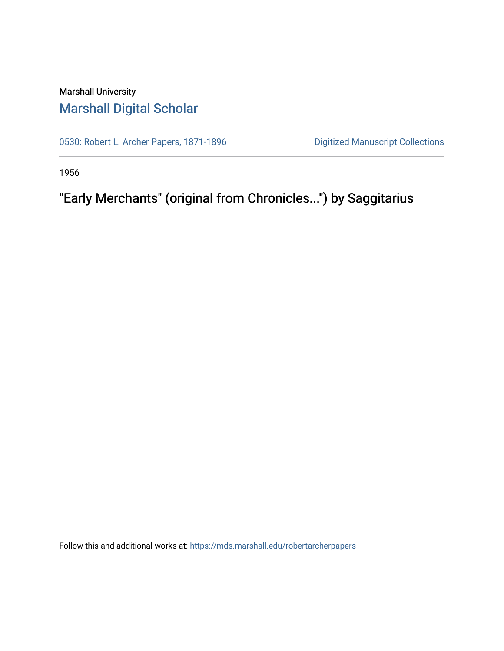## Marshall University [Marshall Digital Scholar](https://mds.marshall.edu/)

[0530: Robert L. Archer Papers, 1871-1896](https://mds.marshall.edu/robertarcherpapers) Digitized Manuscript Collections

1956

"Early Merchants" (original from Chronicles...") by Saggitarius

Follow this and additional works at: [https://mds.marshall.edu/robertarcherpapers](https://mds.marshall.edu/robertarcherpapers?utm_source=mds.marshall.edu%2Frobertarcherpapers%2F4&utm_medium=PDF&utm_campaign=PDFCoverPages)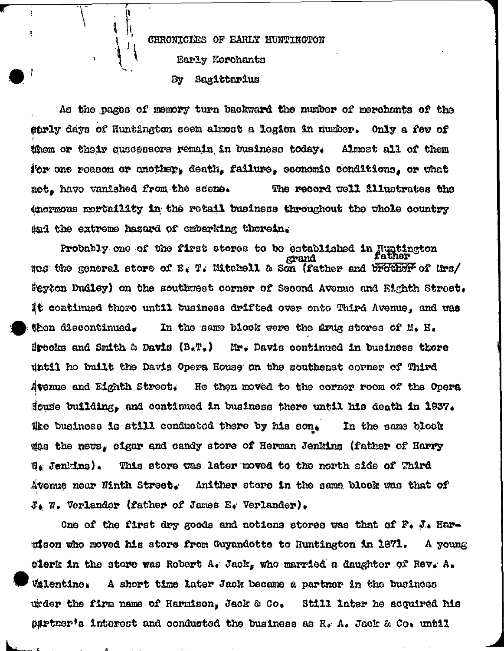CHRONICLES OF EARLY HUNTINGTON Early Merchants Sagittarius By

Å,

 $\ddot{\cdot}$ 

Ť

IJ

Ц.

 $\frac{1}{2}$ 

As the pages of memory turn backward the number of merchants of the sarly days of Huntington seem almost a logion in numbor. Only a few of them or their successors remain in business today. Almost all of them for one reasom or another, death, failure, economic conditions, or what mot, havo vanished from the scone. The record well illustrates the (mormous mortaility in the retail business throughout the whole country tad the extreme hazard of embarking therein.

Probably one of the first stores to be established in Juntington grand thes the general store of E. T. Mitchell & Son (father and brother of Mrs/ Seyton Dudley) on the southwest corner of Second Avenue and Bighth Street. It continued there until business drifted over onto Third Avenue, and was then discontinued. In the same block were the drug stores of M. H. **Hrooks and Smith & Davis (B.T.)** Mr. Davis continued in business there until ho built the Davis Opera House on the southeast corner of Third Avemme and Eighth Street. He then moved to the corner room of the Opera House building, and continued in business there until his death in 1937. Whe business is still conducted there by his son. In the same block the news, cigar and candy store of Herman Jenkins (father of Harry  $\mathfrak{A}_k$  Jenkins). This store was later moved to the north side of Third Avenue near Ninth Street. Anither store in the same block was that of  $\mathcal{J}_4$  W. Verlander (father of James E. Verlander).

One of the first dry goods and notions stores was that of F. J. Harmison who moved his store from Guyandotte to Huntington in 1871. A young clerk in the store was Robert A. Jack, who married a daughter of Rev. A. **Valentine:** A short time later Jack became a partner in the business wider the firm name of Harmison, Jack & Co, Still later he acquired his partner's interest and conducted the business as R. A. Jack & Co. until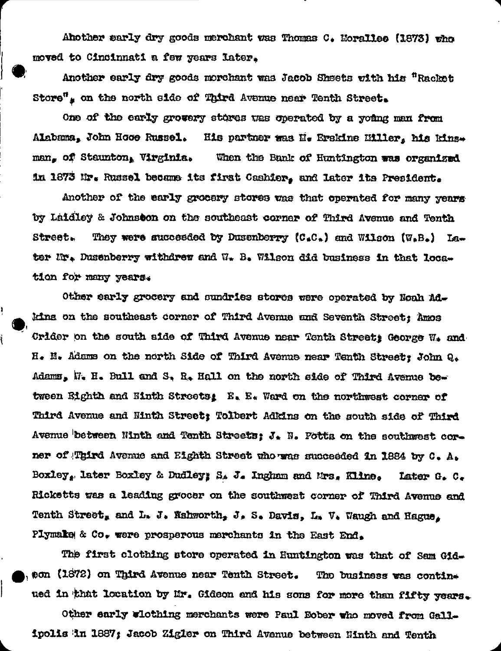Ahother sarly dry goods merchant was Thomas C. Morallee (1873) who moved to Cincinnati a few years later.

Another early dry goods morchant was Jacob Sheets with his "Racket Store", on the north side of Third Avenue near Tenth Street.

One of the early grovery stores was operated by a young man from Alabama, John Hooe Russel. His partner was H. Erskine Hiller, his kinsman. of Staunton, Virginia. When the Bank of Huntington was organized in 1873 Mr. Russel became its first Cashier, and later its President.

Another of the early grocery stores was that operated for many years by Laidley & Johnston on the southeast corner of Third Avenue and Tenth **Street.** They were succeeded by Dusenberry  $(C_{*}C_{*})$  and Wilson  $(W_{*}B_{*})$  Later Hr. Dusenberry withdrew and W. B. Wilson did business in that loca. tion for many years.

ļ

Other early grocery and sundries stores were operated by Noah Adkins on the southeast corner of Third Avenue and Seventh Street; Amos Crider on the south side of Third Avenue near Tenth Street; George  $W_{*}$  and H. N. Adams on the north Side of Third Avenue near Tenth Street: John Q. Adams, W. H. Bull and S. R. Hall on the north side of Third Avenue between Bighth and Ninth Streets: E. E. Ward on the northwest corner of Third Avenue and Ninth Street; Tolbert Adkins on the south side of Third Avenue between Ninth and Tenth Streets;  $J_*$  N. Potts on the southwest corner of Third Avenue and Eighth Street who was succeeded in 1884 by C. A. Boxley, later Boxley & Dudley; S. J. Ingham and Mrs. Kline. Later G. C. Ricketts was a leading grocer on the southwest corner of Third Avenue and Tenth Street, and L. J. Wahworth, J. S. Davis, L. V. Waugh and Hague. Plymake & Co. were prosperous merchants in the East End.

The first clothing store operated in Huntington was that of Sam Gideon (1872) on Third Avenue near Tenth Street. The business was contine ued in that location by Mr. Gideon and his sons for more than fifty years.

Other early wicthing merchants were Paul Bober who moved from Gallipolis in 1887; Jacob Zigler on Third Avenue between Ninth and Tenth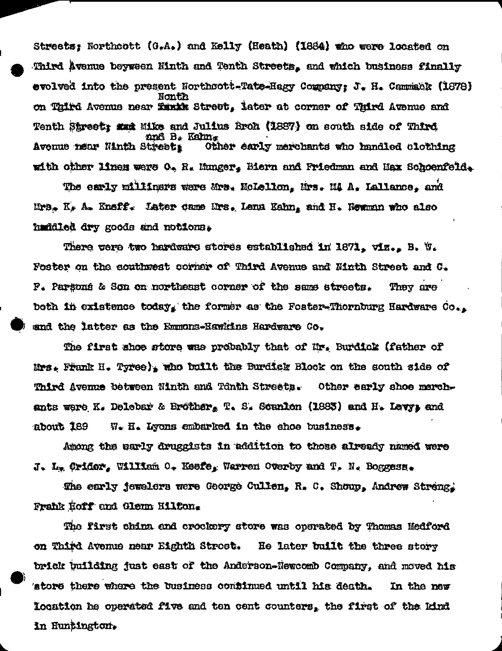Streets: Northcott (G.A.) and Kelly (Heath) (1884) who were located on Third Avenue beyween Ninth and Tenth Streets, and which business finally evolved into the present Northsott-Tate-Hagy Company: J. H. Cammack (1878) Nonth on Third Avenue near Tankk Street, later at corner of Third Avenue and Tenth Street: ### Mike and Julius Broh (1887) on south side of Third and B. Kahn. Avenue near Ninth Streeti Other early merchants who handled clothing with other lines were O. R. Munger. Biern and Friedman and Max Schoenfeld.

The early militars were Mrs. NoLellon. Mrs. MA A. Lallance. and Mrs. K. A. Kneff. Later came Mrs. Lena Kahn, and H. Wewman who also haddled dry goods and notions.

There were two hardware stores established in 1871, viz., B. W. Foster on the couthwest corner of Third Avenue and Ninth Street and C. P. Parsons & Son on northeast corner of the same streets. They are both in existence today, the former as the Foster-Thornourg Hardware  $Co_{++}$ and the latter as the Emmons-Hawkins Hardware Co.

The first shoe store was probably that of Mr. Burdick (father of Mrs. Frank H. Tyree), who built the Burdick Block on the south side of Third Avenue between Ninth and Tchth Streets. Other early shoe marchants were K. Delebar & Brother, T. S. Scanlon (1883) and H. Levy, and  $W_{\bullet}$  H. Lyons embarked in the shoe business. about 189

Among the early druggists in addition to those already named were J. L. Cridor. William 0. Keefe. Warren Overby and T. N. Boggess.

The early jewelers were George Cullen, R. C. Shoup, Andrew Streng. Frahk Hoff and Glenn Hilfon.

The first china and crockery store was operated by Thomas Medford on Third Avenue near Eighth Stroet. He later built the three story brick building just east of the Anderson-Newcomb Company, and moved his 'store there where the business confinued until his death. In the new location he operated five and ten cent counters, the first of the kind In Huntington.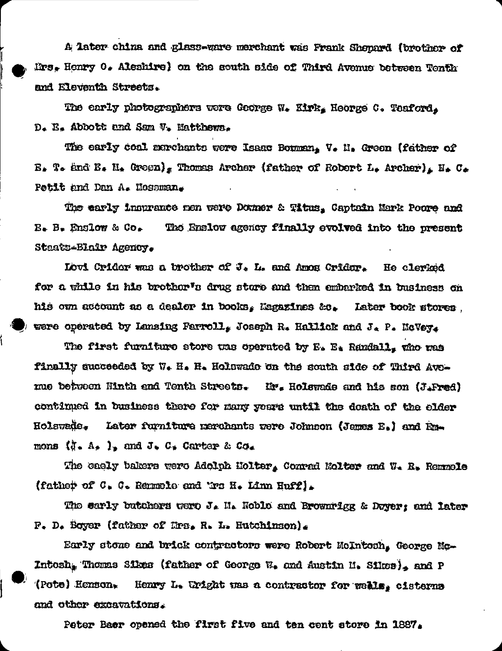A later china and glass-ware merchant was Frank Shepard (brother of Mrs. Henry 0. Aleshire) on the south side of Third Avenue between Tenth and Eleventh Streets.

The early photographers vere George W. Kirk, Heorge C. Teaford, D. E. Abbott and Sam V. Natthews.

The early coal marchants were Isaac Bouman, V. H. Green (father of  $E_*$  T. and  $E_*$  H. Groon), Thomas Archer (father of Robert L. Archer), H. C. Petit and Dan A. Mossman.

The early insurance nen were Donner & Titus. Captain Mark Poore and  $B_*$  B. Englow & Co. The Englow agency finally evolved into the present Staats-Blair Agency.

Lovi Crider was a brother of J. L. and Amos Crider. He clerked for a while in his brothor's drug store and then embarked in business on his own account as a dealer in books, Magazines &c. Later book stores. were operated by Lansing Farroll, Joseph R. Hallick and J. P. McVey.

The first furniture store was operated by E. E. Randall, who was finally succeeded by W. H. H. Holswade on the south side of Third Aveme between Ninth and Tenth Streets. Hr. Holswade and his son (J.Fred) continued in business there for many years until the doath of the elder Holswade. Later furniture merchants were Johnson (James E.) and Enmons  $(i - A_2)$ , and  $J_2 C_2$  Carter & Co.

The caely bakers were Adolph Holter, Conrad Molter and W. R. Remnele (father of C. C. Remmele and Wro H. Linn Huff).

The early butchers were J. H. Noble and Brownrigg & Dwyer; and later  $F_$ . D. Boyer (father of Hrs. R. L. Hutchinson).

Early stone and brick contractors were Robert McIntosh, George Mc-Intosh, Thomas Sikes (father of George W. and Austin H. Sikes), and P (Pote) Henson. Henry L. Uright was a contractor for weals, cisterns and other excavations.

Peter Baer opened the first five and ten cent store in 1887.